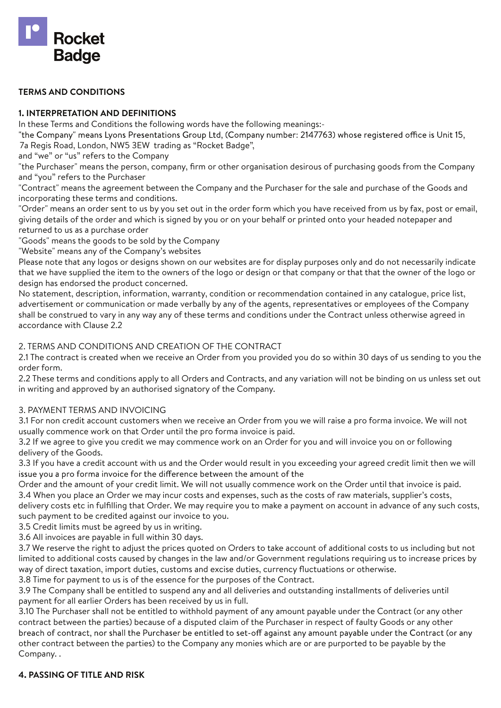

#### **TERMS AND CONDITIONS**

#### **1. INTERPRETATION AND DEFINITIONS**

In these Terms and Conditions the following words have the following meanings:-

"the Company" means Lyons Presentations Group Ltd, (Company number: 2147763) whose registered office is Unit 15, 7a Regis Road, London, NW5 3EW trading as "Rocket Badge",

and "we" or "us" refers to the Company

"the Purchaser" means the person, company, firm or other organisation desirous of purchasing goods from the Company and "you" refers to the Purchaser

"Contract" means the agreement between the Company and the Purchaser for the sale and purchase of the Goods and incorporating these terms and conditions.

"Order" means an order sent to us by you set out in the order form which you have received from us by fax, post or email, giving details of the order and which is signed by you or on your behalf or printed onto your headed notepaper and returned to us as a purchase order

"Goods" means the goods to be sold by the Company

"Website" means any of the Company's websites

Please note that any logos or designs shown on our websites are for display purposes only and do not necessarily indicate that we have supplied the item to the owners of the logo or design or that company or that that the owner of the logo or design has endorsed the product concerned.

No statement, description, information, warranty, condition or recommendation contained in any catalogue, price list, advertisement or communication or made verbally by any of the agents, representatives or employees of the Company shall be construed to vary in any way any of these terms and conditions under the Contract unless otherwise agreed in accordance with Clause 2.2

#### 2. TERMS AND CONDITIONS AND CREATION OF THE CONTRACT

2.1 The contract is created when we receive an Order from you provided you do so within 30 days of us sending to you the order form.

2.2 These terms and conditions apply to all Orders and Contracts, and any variation will not be binding on us unless set out in writing and approved by an authorised signatory of the Company.

#### 3. PAYMENT TERMS AND INVOICING

3.1 For non credit account customers when we receive an Order from you we will raise a pro forma invoice. We will not usually commence work on that Order until the pro forma invoice is paid.

3.2 If we agree to give you credit we may commence work on an Order for you and will invoice you on or following delivery of the Goods.

3.3 If you have a credit account with us and the Order would result in you exceeding your agreed credit limit then we will issue you a pro forma invoice for the difference between the amount of the

Order and the amount of your credit limit. We will not usually commence work on the Order until that invoice is paid. 3.4 When you place an Order we may incur costs and expenses, such as the costs of raw materials, supplier's costs,

delivery costs etc in fulfilling that Order. We may require you to make a payment on account in advance of any such costs, such payment to be credited against our invoice to you.

3.5 Credit limits must be agreed by us in writing.

3.6 All invoices are payable in full within 30 days.

3.7 We reserve the right to adjust the prices quoted on Orders to take account of additional costs to us including but not limited to additional costs caused by changes in the law and/or Government regulations requiring us to increase prices by way of direct taxation, import duties, customs and excise duties, currency fluctuations or otherwise.

3.8 Time for payment to us is of the essence for the purposes of the Contract.

3.9 The Company shall be entitled to suspend any and all deliveries and outstanding installments of deliveries until payment for all earlier Orders has been received by us in full.

3.10 The Purchaser shall not be entitled to withhold payment of any amount payable under the Contract (or any other contract between the parties) because of a disputed claim of the Purchaser in respect of faulty Goods or any other breach of contract, nor shall the Purchaser be entitled to set-off against any amount payable under the Contract (or any other contract between the parties) to the Company any monies which are or are purported to be payable by the Company. .

### **4. PASSING OF TITLE AND RISK**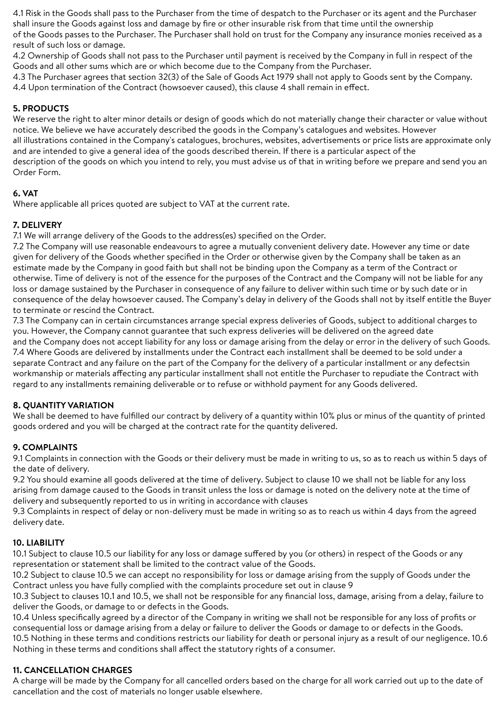4.1 Risk in the Goods shall pass to the Purchaser from the time of despatch to the Purchaser or its agent and the Purchaser shall insure the Goods against loss and damage by fire or other insurable risk from that time until the ownership of the Goods passes to the Purchaser. The Purchaser shall hold on trust for the Company any insurance monies received as a result of such loss or damage.

4.2 Ownership of Goods shall not pass to the Purchaser until payment is received by the Company in full in respect of the Goods and all other sums which are or which become due to the Company from the Purchaser.

4.3 The Purchaser agrees that section 32(3) of the Sale of Goods Act 1979 shall not apply to Goods sent by the Company. 4.4 Upon termination of the Contract (howsoever caused), this clause 4 shall remain in effect.

# **5. PRODUCTS**

We reserve the right to alter minor details or design of goods which do not materially change their character or value without notice. We believe we have accurately described the goods in the Company's catalogues and websites. However all illustrations contained in the Company's catalogues, brochures, websites, advertisements or price lists are approximate only and are intended to give a general idea of the goods described therein. If there is a particular aspect of the description of the goods on which you intend to rely, you must advise us of that in writing before we prepare and send you an Order Form.

# **6. VAT**

Where applicable all prices quoted are subject to VAT at the current rate.

## **7. DELIVERY**

7.1 We will arrange delivery of the Goods to the address(es) specified on the Order.

7.2 The Company will use reasonable endeavours to agree a mutually convenient delivery date. However any time or date given for delivery of the Goods whether specified in the Order or otherwise given by the Company shall be taken as an estimate made by the Company in good faith but shall not be binding upon the Company as a term of the Contract or otherwise. Time of delivery is not of the essence for the purposes of the Contract and the Company will not be liable for any loss or damage sustained by the Purchaser in consequence of any failure to deliver within such time or by such date or in consequence of the delay howsoever caused. The Company's delay in delivery of the Goods shall not by itself entitle the Buyer to terminate or rescind the Contract.

7.3 The Company can in certain circumstances arrange special express deliveries of Goods, subject to additional charges to you. However, the Company cannot guarantee that such express deliveries will be delivered on the agreed date and the Company does not accept liability for any loss or damage arising from the delay or error in the delivery of such Goods. 7.4 Where Goods are delivered by installments under the Contract each installment shall be deemed to be sold under a separate Contract and any failure on the part of the Company for the delivery of a particular installment or any defectsin workmanship or materials affecting any particular installment shall not entitle the Purchaser to repudiate the Contract with regard to any installments remaining deliverable or to refuse or withhold payment for any Goods delivered.

# **8. QUANTITY VARIATION**

We shall be deemed to have fulfilled our contract by delivery of a quantity within 10% plus or minus of the quantity of printed goods ordered and you will be charged at the contract rate for the quantity delivered.

# **9. COMPLAINTS**

9.1 Complaints in connection with the Goods or their delivery must be made in writing to us, so as to reach us within 5 days of the date of delivery.

9.2 You should examine all goods delivered at the time of delivery. Subject to clause 10 we shall not be liable for any loss arising from damage caused to the Goods in transit unless the loss or damage is noted on the delivery note at the time of delivery and subsequently reported to us in writing in accordance with clauses

9.3 Complaints in respect of delay or non-delivery must be made in writing so as to reach us within 4 days from the agreed delivery date.

# **10. LIABILITY**

10.1 Subject to clause 10.5 our liability for any loss or damage suffered by you (or others) in respect of the Goods or any representation or statement shall be limited to the contract value of the Goods.

10.2 Subject to clause 10.5 we can accept no responsibility for loss or damage arising from the supply of Goods under the Contract unless you have fully complied with the complaints procedure set out in clause 9

10.3 Subject to clauses 10.1 and 10.5, we shall not be responsible for any financial loss, damage, arising from a delay, failure to deliver the Goods, or damage to or defects in the Goods.

10.4 Unless specifically agreed by a director of the Company in writing we shall not be responsible for any loss of profits or consequential loss or damage arising from a delay or failure to deliver the Goods or damage to or defects in the Goods. 10.5 Nothing in these terms and conditions restricts our liability for death or personal injury as a result of our negligence. 10.6 Nothing in these terms and conditions shall affect the statutory rights of a consumer.

# **11. CANCELLATION CHARGES**

A charge will be made by the Company for all cancelled orders based on the charge for all work carried out up to the date of cancellation and the cost of materials no longer usable elsewhere.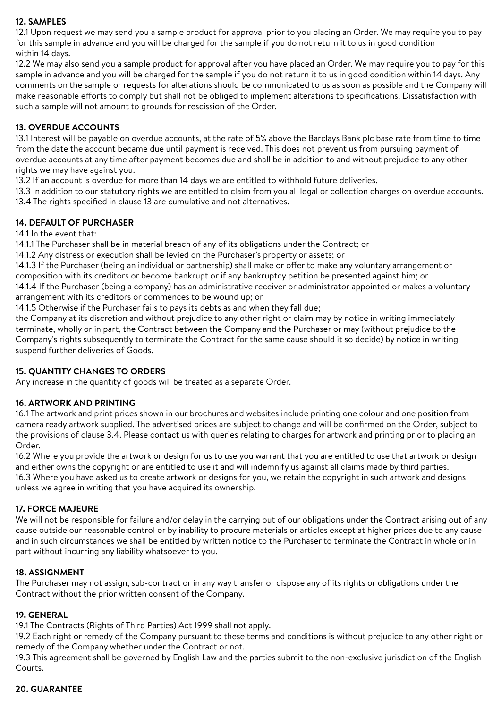## **12. SAMPLES**

12.1 Upon request we may send you a sample product for approval prior to you placing an Order. We may require you to pay for this sample in advance and you will be charged for the sample if you do not return it to us in good condition within 14 days.

12.2 We may also send you a sample product for approval after you have placed an Order. We may require you to pay for this sample in advance and you will be charged for the sample if you do not return it to us in good condition within 14 days. Any comments on the sample or requests for alterations should be communicated to us as soon as possible and the Company will make reasonable efforts to comply but shall not be obliged to implement alterations to specifications. Dissatisfaction with such a sample will not amount to grounds for rescission of the Order.

## **13. OVERDUE ACCOUNTS**

13.1 Interest will be payable on overdue accounts, at the rate of 5% above the Barclays Bank plc base rate from time to time from the date the account became due until payment is received. This does not prevent us from pursuing payment of overdue accounts at any time after payment becomes due and shall be in addition to and without prejudice to any other rights we may have against you.

13.2 If an account is overdue for more than 14 days we are entitled to withhold future deliveries.

13.3 In addition to our statutory rights we are entitled to claim from you all legal or collection charges on overdue accounts. 13.4 The rights specified in clause 13 are cumulative and not alternatives.

### **14. DEFAULT OF PURCHASER**

#### 14.1 In the event that:

14.1.1 The Purchaser shall be in material breach of any of its obligations under the Contract; or

14.1.2 Any distress or execution shall be levied on the Purchaser's property or assets; or

14.1.3 If the Purchaser (being an individual or partnership) shall make or offer to make any voluntary arrangement or composition with its creditors or become bankrupt or if any bankruptcy petition be presented against him; or

14.1.4 If the Purchaser (being a company) has an administrative receiver or administrator appointed or makes a voluntary arrangement with its creditors or commences to be wound up; or

14.1.5 Otherwise if the Purchaser fails to pays its debts as and when they fall due;

the Company at its discretion and without prejudice to any other right or claim may by notice in writing immediately terminate, wholly or in part, the Contract between the Company and the Purchaser or may (without prejudice to the Company's rights subsequently to terminate the Contract for the same cause should it so decide) by notice in writing suspend further deliveries of Goods.

### **15. QUANTITY CHANGES TO ORDERS**

Any increase in the quantity of goods will be treated as a separate Order.

### **16. ARTWORK AND PRINTING**

16.1 The artwork and print prices shown in our brochures and websites include printing one colour and one position from camera ready artwork supplied. The advertised prices are subject to change and will be confirmed on the Order, subject to the provisions of clause 3.4. Please contact us with queries relating to charges for artwork and printing prior to placing an Order.

16.2 Where you provide the artwork or design for us to use you warrant that you are entitled to use that artwork or design and either owns the copyright or are entitled to use it and will indemnify us against all claims made by third parties. 16.3 Where you have asked us to create artwork or designs for you, we retain the copyright in such artwork and designs unless we agree in writing that you have acquired its ownership.

### **17. FORCE MAJEURE**

We will not be responsible for failure and/or delay in the carrying out of our obligations under the Contract arising out of any cause outside our reasonable control or by inability to procure materials or articles except at higher prices due to any cause and in such circumstances we shall be entitled by written notice to the Purchaser to terminate the Contract in whole or in part without incurring any liability whatsoever to you.

### **18. ASSIGNMENT**

The Purchaser may not assign, sub-contract or in any way transfer or dispose any of its rights or obligations under the Contract without the prior written consent of the Company.

### **19. GENERAL**

19.1 The Contracts (Rights of Third Parties) Act 1999 shall not apply.

19.2 Each right or remedy of the Company pursuant to these terms and conditions is without prejudice to any other right or remedy of the Company whether under the Contract or not.

19.3 This agreement shall be governed by English Law and the parties submit to the non-exclusive jurisdiction of the English Courts.

# **20. GUARANTEE**